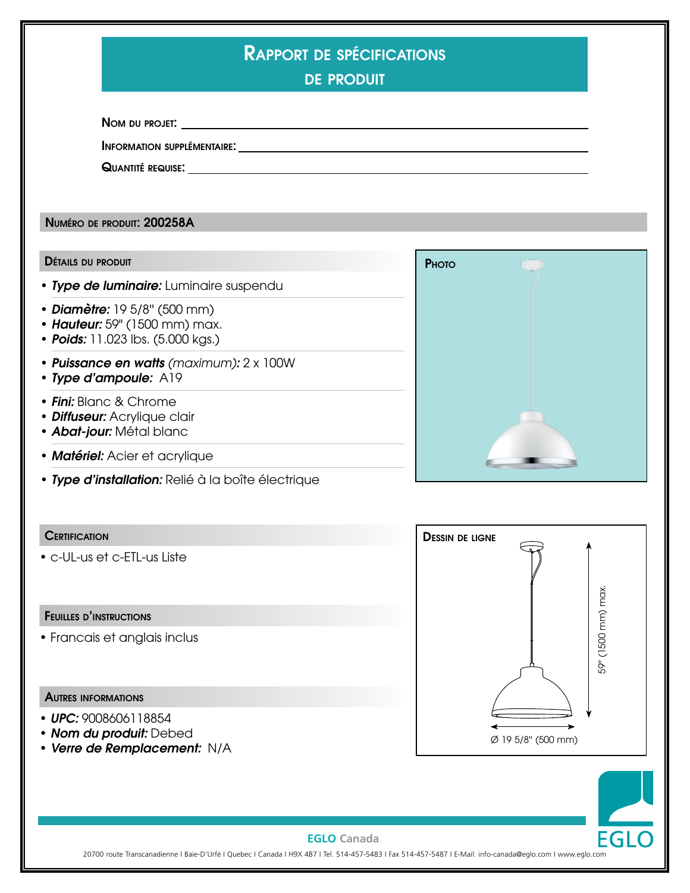| <b>RAPPORT DE SPÉCIFICATIONS</b> |
|----------------------------------|
|                                  |
|                                  |

de produit

Nom du projet:

Information supplémentaire:

Quantité requise:

Numéro de produit: 200258A

#### Détails du produit

- *Type de luminaire:* Luminaire suspendu
- *Diamètre:* 19 5/8'' (500 mm)
- *Hauteur:* 59" (1500 mm) max.
- *Poids:* 11.023 lbs. (5.000 kgs.)
- *Puissance en watts (maximum):* 2 x 100W
- *Type d'ampoule:* A19
- *Fini:* Blanc & Chrome
- *Diffuseur:* Acrylique clair
- *Abat-jour:* Métal blanc
- *Matériel:* Acier et acrylique
- *Type d'installation:* Relié à la boîte électrique

### **CERTIFICATION**

• c-UL-us et c-ETL-us Liste

### Feuilles d'instructions

• Francais et anglais inclus

### Autres informations

- *UPC:* 9008606118854
- *Nom du produit:* Debed
- *Verre de Remplacement:* N/A





#### **EGLO Canada**

20700 route Transcanadienne I Baie-D'Urfé I Quebec I Canada I H9X 4B7 I Tel. 514-457-5483 I Fax 514-457-5487 I E-Mail: info-canada@eglo.com I www.eglo.com